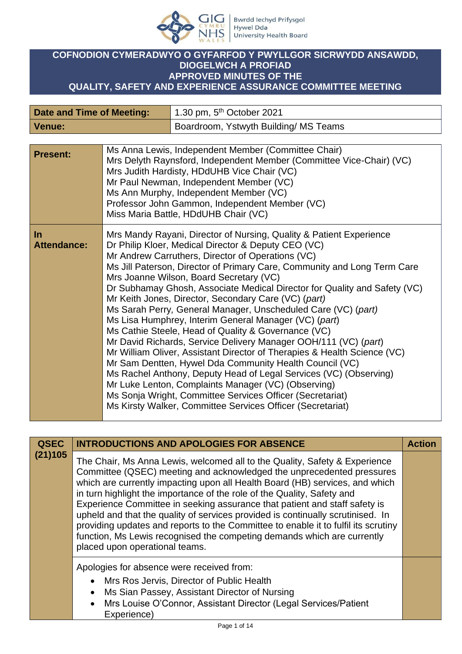

## **COFNODION CYMERADWYO O GYFARFOD Y PWYLLGOR SICRWYDD ANSAWDD, DIOGELWCH A PROFIAD APPROVED MINUTES OF THE QUALITY, SAFETY AND EXPERIENCE ASSURANCE COMMITTEE MEETING**

| Date and Time of Meeting: | 1.30 pm, $5th$ October 2021           |
|---------------------------|---------------------------------------|
| Venue:                    | Boardroom, Ystwyth Building/ MS Teams |

| <b>Present:</b>             | Ms Anna Lewis, Independent Member (Committee Chair)<br>Mrs Delyth Raynsford, Independent Member (Committee Vice-Chair) (VC)<br>Mrs Judith Hardisty, HDdUHB Vice Chair (VC)<br>Mr Paul Newman, Independent Member (VC)<br>Ms Ann Murphy, Independent Member (VC)<br>Professor John Gammon, Independent Member (VC)<br>Miss Maria Battle, HDdUHB Chair (VC)                                                                                                                                                                                                                                                                                                                                                                                                                                                                                                                                                                                                                                                                                                                                     |
|-----------------------------|-----------------------------------------------------------------------------------------------------------------------------------------------------------------------------------------------------------------------------------------------------------------------------------------------------------------------------------------------------------------------------------------------------------------------------------------------------------------------------------------------------------------------------------------------------------------------------------------------------------------------------------------------------------------------------------------------------------------------------------------------------------------------------------------------------------------------------------------------------------------------------------------------------------------------------------------------------------------------------------------------------------------------------------------------------------------------------------------------|
| $\ln$<br><b>Attendance:</b> | Mrs Mandy Rayani, Director of Nursing, Quality & Patient Experience<br>Dr Philip Kloer, Medical Director & Deputy CEO (VC)<br>Mr Andrew Carruthers, Director of Operations (VC)<br>Ms Jill Paterson, Director of Primary Care, Community and Long Term Care<br>Mrs Joanne Wilson, Board Secretary (VC)<br>Dr Subhamay Ghosh, Associate Medical Director for Quality and Safety (VC)<br>Mr Keith Jones, Director, Secondary Care (VC) (part)<br>Ms Sarah Perry, General Manager, Unscheduled Care (VC) (part)<br>Ms Lisa Humphrey, Interim General Manager (VC) (part)<br>Ms Cathie Steele, Head of Quality & Governance (VC)<br>Mr David Richards, Service Delivery Manager OOH/111 (VC) (part)<br>Mr William Oliver, Assistant Director of Therapies & Health Science (VC)<br>Mr Sam Dentten, Hywel Dda Community Health Council (VC)<br>Ms Rachel Anthony, Deputy Head of Legal Services (VC) (Observing)<br>Mr Luke Lenton, Complaints Manager (VC) (Observing)<br>Ms Sonja Wright, Committee Services Officer (Secretariat)<br>Ms Kirsty Walker, Committee Services Officer (Secretariat) |

| <b>QSEC</b> | <b>INTRODUCTIONS AND APOLOGIES FOR ABSENCE</b>                                                                                                                                                                                                                                                                                                                                                                                                                                                                                                                                                                                                                                     | <b>Action</b> |
|-------------|------------------------------------------------------------------------------------------------------------------------------------------------------------------------------------------------------------------------------------------------------------------------------------------------------------------------------------------------------------------------------------------------------------------------------------------------------------------------------------------------------------------------------------------------------------------------------------------------------------------------------------------------------------------------------------|---------------|
| (21)105     | The Chair, Ms Anna Lewis, welcomed all to the Quality, Safety & Experience<br>Committee (QSEC) meeting and acknowledged the unprecedented pressures<br>which are currently impacting upon all Health Board (HB) services, and which<br>in turn highlight the importance of the role of the Quality, Safety and<br>Experience Committee in seeking assurance that patient and staff safety is<br>upheld and that the quality of services provided is continually scrutinised. In<br>providing updates and reports to the Committee to enable it to fulfil its scrutiny<br>function, Ms Lewis recognised the competing demands which are currently<br>placed upon operational teams. |               |
|             | Apologies for absence were received from:<br>Mrs Ros Jervis, Director of Public Health<br>Ms Sian Passey, Assistant Director of Nursing<br>Mrs Louise O'Connor, Assistant Director (Legal Services/Patient<br>Experience)                                                                                                                                                                                                                                                                                                                                                                                                                                                          |               |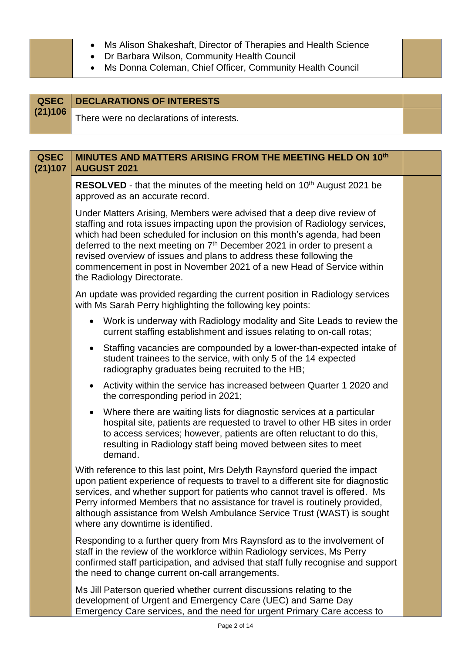|  | Ms Alison Shakeshaft, Director of Therapies and Health Science |  |  |  |  |
|--|----------------------------------------------------------------|--|--|--|--|
|--|----------------------------------------------------------------|--|--|--|--|

- Dr Barbara Wilson, Community Health Council
- Ms Donna Coleman, Chief Officer, Community Health Council

|         | <b>QSEC</b> DECLARATIONS OF INTERESTS    |  |
|---------|------------------------------------------|--|
| (21)106 | There were no declarations of interests. |  |

| <b>QSEC</b><br>(21)107 | MINUTES AND MATTERS ARISING FROM THE MEETING HELD ON 10th<br><b>AUGUST 2021</b>                                                                                                                                                                                                                                                                                                                                                                                                                        |  |
|------------------------|--------------------------------------------------------------------------------------------------------------------------------------------------------------------------------------------------------------------------------------------------------------------------------------------------------------------------------------------------------------------------------------------------------------------------------------------------------------------------------------------------------|--|
|                        | RESOLVED - that the minutes of the meeting held on 10 <sup>th</sup> August 2021 be<br>approved as an accurate record.                                                                                                                                                                                                                                                                                                                                                                                  |  |
|                        | Under Matters Arising, Members were advised that a deep dive review of<br>staffing and rota issues impacting upon the provision of Radiology services,<br>which had been scheduled for inclusion on this month's agenda, had been<br>deferred to the next meeting on 7 <sup>th</sup> December 2021 in order to present a<br>revised overview of issues and plans to address these following the<br>commencement in post in November 2021 of a new Head of Service within<br>the Radiology Directorate. |  |
|                        | An update was provided regarding the current position in Radiology services<br>with Ms Sarah Perry highlighting the following key points:                                                                                                                                                                                                                                                                                                                                                              |  |
|                        | Work is underway with Radiology modality and Site Leads to review the<br>current staffing establishment and issues relating to on-call rotas;                                                                                                                                                                                                                                                                                                                                                          |  |
|                        | Staffing vacancies are compounded by a lower-than-expected intake of<br>$\bullet$<br>student trainees to the service, with only 5 of the 14 expected<br>radiography graduates being recruited to the HB;                                                                                                                                                                                                                                                                                               |  |
|                        | Activity within the service has increased between Quarter 1 2020 and<br>$\bullet$<br>the corresponding period in 2021;                                                                                                                                                                                                                                                                                                                                                                                 |  |
|                        | Where there are waiting lists for diagnostic services at a particular<br>hospital site, patients are requested to travel to other HB sites in order<br>to access services; however, patients are often reluctant to do this,<br>resulting in Radiology staff being moved between sites to meet<br>demand.                                                                                                                                                                                              |  |
|                        | With reference to this last point, Mrs Delyth Raynsford queried the impact<br>upon patient experience of requests to travel to a different site for diagnostic<br>services, and whether support for patients who cannot travel is offered. Ms<br>Perry informed Members that no assistance for travel is routinely provided,<br>although assistance from Welsh Ambulance Service Trust (WAST) is sought<br>where any downtime is identified.                                                           |  |
|                        | Responding to a further query from Mrs Raynsford as to the involvement of<br>staff in the review of the workforce within Radiology services, Ms Perry<br>confirmed staff participation, and advised that staff fully recognise and support<br>the need to change current on-call arrangements.                                                                                                                                                                                                         |  |
|                        | Ms Jill Paterson queried whether current discussions relating to the<br>development of Urgent and Emergency Care (UEC) and Same Day                                                                                                                                                                                                                                                                                                                                                                    |  |

Emergency Care services, and the need for urgent Primary Care access to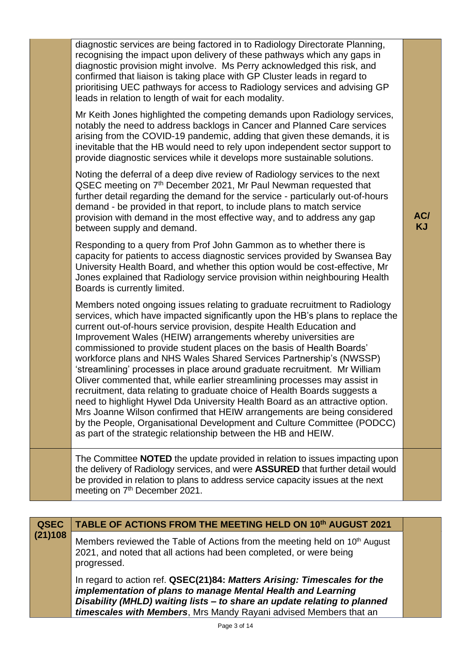| <b>QSEC</b> | TABLE OF ACTIONS FROM THE MEETING HELD ON 10th AUGUST 2021                                                                                                                                                                                                                                                                                                                                                                                                                                                                                                                                                                                                                                                                                                                                                                                                                                                                                                                                            |                  |
|-------------|-------------------------------------------------------------------------------------------------------------------------------------------------------------------------------------------------------------------------------------------------------------------------------------------------------------------------------------------------------------------------------------------------------------------------------------------------------------------------------------------------------------------------------------------------------------------------------------------------------------------------------------------------------------------------------------------------------------------------------------------------------------------------------------------------------------------------------------------------------------------------------------------------------------------------------------------------------------------------------------------------------|------------------|
|             |                                                                                                                                                                                                                                                                                                                                                                                                                                                                                                                                                                                                                                                                                                                                                                                                                                                                                                                                                                                                       |                  |
|             | The Committee NOTED the update provided in relation to issues impacting upon<br>the delivery of Radiology services, and were ASSURED that further detail would<br>be provided in relation to plans to address service capacity issues at the next<br>meeting on 7 <sup>th</sup> December 2021.                                                                                                                                                                                                                                                                                                                                                                                                                                                                                                                                                                                                                                                                                                        |                  |
|             | Members noted ongoing issues relating to graduate recruitment to Radiology<br>services, which have impacted significantly upon the HB's plans to replace the<br>current out-of-hours service provision, despite Health Education and<br>Improvement Wales (HEIW) arrangements whereby universities are<br>commissioned to provide student places on the basis of Health Boards'<br>workforce plans and NHS Wales Shared Services Partnership's (NWSSP)<br>'streamlining' processes in place around graduate recruitment. Mr William<br>Oliver commented that, while earlier streamlining processes may assist in<br>recruitment, data relating to graduate choice of Health Boards suggests a<br>need to highlight Hywel Dda University Health Board as an attractive option.<br>Mrs Joanne Wilson confirmed that HEIW arrangements are being considered<br>by the People, Organisational Development and Culture Committee (PODCC)<br>as part of the strategic relationship between the HB and HEIW. |                  |
|             | Responding to a query from Prof John Gammon as to whether there is<br>capacity for patients to access diagnostic services provided by Swansea Bay<br>University Health Board, and whether this option would be cost-effective, Mr<br>Jones explained that Radiology service provision within neighbouring Health<br>Boards is currently limited.                                                                                                                                                                                                                                                                                                                                                                                                                                                                                                                                                                                                                                                      |                  |
|             | Noting the deferral of a deep dive review of Radiology services to the next<br>QSEC meeting on 7 <sup>th</sup> December 2021, Mr Paul Newman requested that<br>further detail regarding the demand for the service - particularly out-of-hours<br>demand - be provided in that report, to include plans to match service<br>provision with demand in the most effective way, and to address any gap<br>between supply and demand.                                                                                                                                                                                                                                                                                                                                                                                                                                                                                                                                                                     | AC/<br><b>KJ</b> |
|             | Mr Keith Jones highlighted the competing demands upon Radiology services,<br>notably the need to address backlogs in Cancer and Planned Care services<br>arising from the COVID-19 pandemic, adding that given these demands, it is<br>inevitable that the HB would need to rely upon independent sector support to<br>provide diagnostic services while it develops more sustainable solutions.                                                                                                                                                                                                                                                                                                                                                                                                                                                                                                                                                                                                      |                  |
|             | diagnostic services are being factored in to Radiology Directorate Planning,<br>recognising the impact upon delivery of these pathways which any gaps in<br>diagnostic provision might involve. Ms Perry acknowledged this risk, and<br>confirmed that liaison is taking place with GP Cluster leads in regard to<br>prioritising UEC pathways for access to Radiology services and advising GP<br>leads in relation to length of wait for each modality.                                                                                                                                                                                                                                                                                                                                                                                                                                                                                                                                             |                  |
|             |                                                                                                                                                                                                                                                                                                                                                                                                                                                                                                                                                                                                                                                                                                                                                                                                                                                                                                                                                                                                       |                  |

**(21)108** Members reviewed the Table of Actions from the meeting held on 10<sup>th</sup> August 2021, and noted that all actions had been completed, or were being progressed.

> In regard to action ref. **QSEC(21)84:** *Matters Arising: Timescales for the implementation of plans to manage Mental Health and Learning Disability (MHLD) waiting lists – to share an update relating to planned timescales with Members*, Mrs Mandy Rayani advised Members that an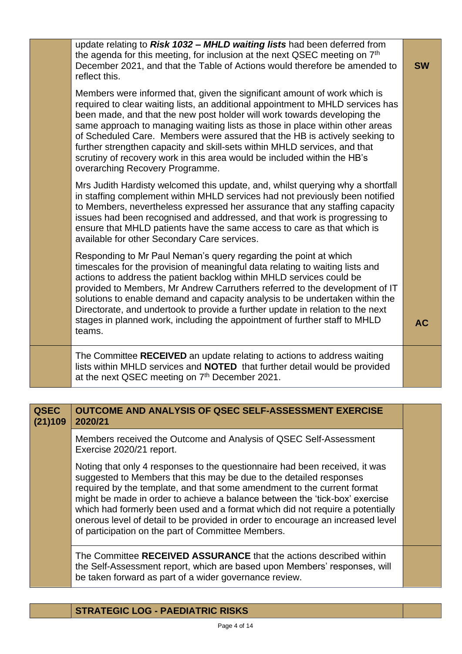| update relating to Risk 1032 - MHLD waiting lists had been deferred from<br>the agenda for this meeting, for inclusion at the next QSEC meeting on 7 <sup>th</sup><br>December 2021, and that the Table of Actions would therefore be amended to<br>reflect this.                                                                                                                                                                                                                                                                                                                                  | <b>SW</b> |
|----------------------------------------------------------------------------------------------------------------------------------------------------------------------------------------------------------------------------------------------------------------------------------------------------------------------------------------------------------------------------------------------------------------------------------------------------------------------------------------------------------------------------------------------------------------------------------------------------|-----------|
| Members were informed that, given the significant amount of work which is<br>required to clear waiting lists, an additional appointment to MHLD services has<br>been made, and that the new post holder will work towards developing the<br>same approach to managing waiting lists as those in place within other areas<br>of Scheduled Care. Members were assured that the HB is actively seeking to<br>further strengthen capacity and skill-sets within MHLD services, and that<br>scrutiny of recovery work in this area would be included within the HB's<br>overarching Recovery Programme. |           |
| Mrs Judith Hardisty welcomed this update, and, whilst querying why a shortfall<br>in staffing complement within MHLD services had not previously been notified<br>to Members, nevertheless expressed her assurance that any staffing capacity<br>issues had been recognised and addressed, and that work is progressing to<br>ensure that MHLD patients have the same access to care as that which is<br>available for other Secondary Care services.                                                                                                                                              |           |
| Responding to Mr Paul Neman's query regarding the point at which<br>timescales for the provision of meaningful data relating to waiting lists and<br>actions to address the patient backlog within MHLD services could be<br>provided to Members, Mr Andrew Carruthers referred to the development of IT<br>solutions to enable demand and capacity analysis to be undertaken within the<br>Directorate, and undertook to provide a further update in relation to the next<br>stages in planned work, including the appointment of further staff to MHLD<br>teams.                                 | <b>AC</b> |
| The Committee RECEIVED an update relating to actions to address waiting<br>lists within MHLD services and <b>NOTED</b> that further detail would be provided<br>at the next QSEC meeting on 7 <sup>th</sup> December 2021.                                                                                                                                                                                                                                                                                                                                                                         |           |

| <b>QSEC</b><br>(21)109 | OUTCOME AND ANALYSIS OF QSEC SELF-ASSESSMENT EXERCISE<br>2020/21                                                                                                                                                                                                                                                                                                                                                                                                                                                                       |  |
|------------------------|----------------------------------------------------------------------------------------------------------------------------------------------------------------------------------------------------------------------------------------------------------------------------------------------------------------------------------------------------------------------------------------------------------------------------------------------------------------------------------------------------------------------------------------|--|
|                        | Members received the Outcome and Analysis of QSEC Self-Assessment<br>Exercise 2020/21 report.                                                                                                                                                                                                                                                                                                                                                                                                                                          |  |
|                        | Noting that only 4 responses to the questionnaire had been received, it was<br>suggested to Members that this may be due to the detailed responses<br>required by the template, and that some amendment to the current format<br>might be made in order to achieve a balance between the 'tick-box' exercise<br>which had formerly been used and a format which did not require a potentially<br>onerous level of detail to be provided in order to encourage an increased level<br>of participation on the part of Committee Members. |  |
|                        | The Committee RECEIVED ASSURANCE that the actions described within<br>the Self-Assessment report, which are based upon Members' responses, will<br>be taken forward as part of a wider governance review.                                                                                                                                                                                                                                                                                                                              |  |

**STRATEGIC LOG - PAEDIATRIC RISKS**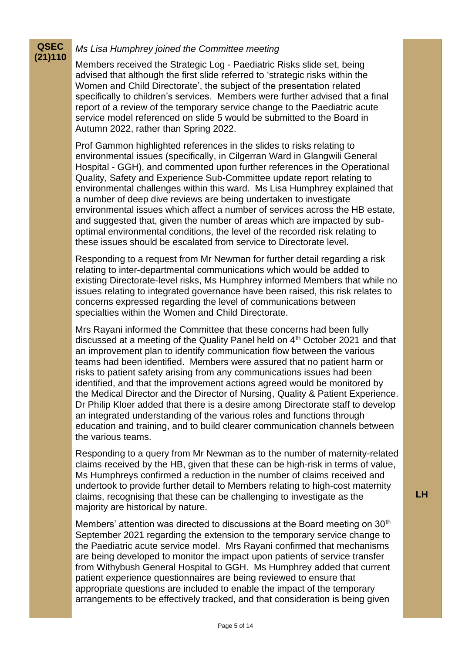| <b>QSEC</b> | Ms Lisa Humphrey joined the Committee meeting                                                                                                                                                                                                                                                                                                                                                                                                                                                                                                                                                                                                                                                                                                                                                                                       |  |
|-------------|-------------------------------------------------------------------------------------------------------------------------------------------------------------------------------------------------------------------------------------------------------------------------------------------------------------------------------------------------------------------------------------------------------------------------------------------------------------------------------------------------------------------------------------------------------------------------------------------------------------------------------------------------------------------------------------------------------------------------------------------------------------------------------------------------------------------------------------|--|
| (21)110     | Members received the Strategic Log - Paediatric Risks slide set, being<br>advised that although the first slide referred to 'strategic risks within the<br>Women and Child Directorate', the subject of the presentation related<br>specifically to children's services. Members were further advised that a final<br>report of a review of the temporary service change to the Paediatric acute<br>service model referenced on slide 5 would be submitted to the Board in<br>Autumn 2022, rather than Spring 2022.                                                                                                                                                                                                                                                                                                                 |  |
|             | Prof Gammon highlighted references in the slides to risks relating to<br>environmental issues (specifically, in Cilgerran Ward in Glangwili General<br>Hospital - GGH), and commented upon further references in the Operational<br>Quality, Safety and Experience Sub-Committee update report relating to<br>environmental challenges within this ward. Ms Lisa Humphrey explained that<br>a number of deep dive reviews are being undertaken to investigate<br>environmental issues which affect a number of services across the HB estate,<br>and suggested that, given the number of areas which are impacted by sub-<br>optimal environmental conditions, the level of the recorded risk relating to<br>these issues should be escalated from service to Directorate level.                                                    |  |
|             | Responding to a request from Mr Newman for further detail regarding a risk<br>relating to inter-departmental communications which would be added to<br>existing Directorate-level risks, Ms Humphrey informed Members that while no<br>issues relating to integrated governance have been raised, this risk relates to<br>concerns expressed regarding the level of communications between<br>specialties within the Women and Child Directorate.                                                                                                                                                                                                                                                                                                                                                                                   |  |
|             | Mrs Rayani informed the Committee that these concerns had been fully<br>discussed at a meeting of the Quality Panel held on 4 <sup>th</sup> October 2021 and that<br>an improvement plan to identify communication flow between the various<br>teams had been identified. Members were assured that no patient harm or<br>risks to patient safety arising from any communications issues had been<br>identified, and that the improvement actions agreed would be monitored by<br>the Medical Director and the Director of Nursing, Quality & Patient Experience.<br>Dr Philip Kloer added that there is a desire among Directorate staff to develop<br>an integrated understanding of the various roles and functions through<br>education and training, and to build clearer communication channels between<br>the various teams. |  |
|             | Responding to a query from Mr Newman as to the number of maternity-related<br>claims received by the HB, given that these can be high-risk in terms of value,<br>Ms Humphreys confirmed a reduction in the number of claims received and<br>undertook to provide further detail to Members relating to high-cost maternity<br>claims, recognising that these can be challenging to investigate as the<br>majority are historical by nature.                                                                                                                                                                                                                                                                                                                                                                                         |  |
|             | Members' attention was directed to discussions at the Board meeting on 30 <sup>th</sup><br>September 2021 regarding the extension to the temporary service change to<br>the Paediatric acute service model. Mrs Rayani confirmed that mechanisms<br>are being developed to monitor the impact upon patients of service transfer<br>from Withybush General Hospital to GGH. Ms Humphrey added that current                                                                                                                                                                                                                                                                                                                                                                                                                           |  |

**LH**

patient experience questionnaires are being reviewed to ensure that appropriate questions are included to enable the impact of the temporary arrangements to be effectively tracked, and that consideration is being given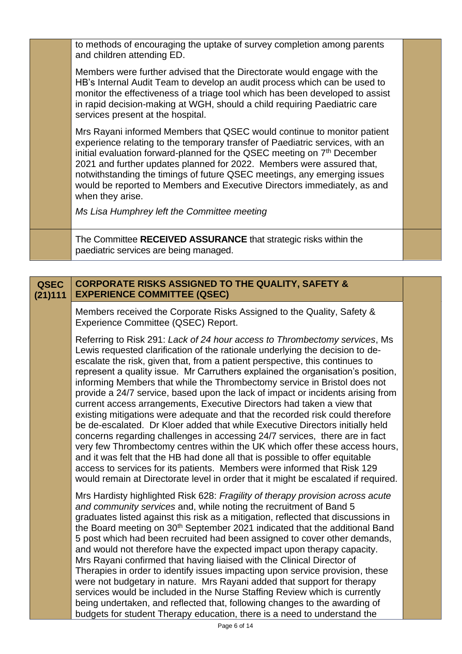to methods of encouraging the uptake of survey completion among parents and children attending ED.

Members were further advised that the Directorate would engage with the HB's Internal Audit Team to develop an audit process which can be used to monitor the effectiveness of a triage tool which has been developed to assist in rapid decision-making at WGH, should a child requiring Paediatric care services present at the hospital.

Mrs Rayani informed Members that QSEC would continue to monitor patient experience relating to the temporary transfer of Paediatric services, with an initial evaluation forward-planned for the QSEC meeting on  $7<sup>th</sup>$  December 2021 and further updates planned for 2022. Members were assured that, notwithstanding the timings of future QSEC meetings, any emerging issues would be reported to Members and Executive Directors immediately, as and when they arise.

*Ms Lisa Humphrey left the Committee meeting*

The Committee **RECEIVED ASSURANCE** that strategic risks within the paediatric services are being managed.

## **QSEC (21)111 CORPORATE RISKS ASSIGNED TO THE QUALITY, SAFETY & EXPERIENCE COMMITTEE (QSEC)**

Members received the Corporate Risks Assigned to the Quality, Safety & Experience Committee (QSEC) Report.

Referring to Risk 291: *Lack of 24 hour access to Thrombectomy services*, Ms Lewis requested clarification of the rationale underlying the decision to deescalate the risk, given that, from a patient perspective, this continues to represent a quality issue. Mr Carruthers explained the organisation's position, informing Members that while the Thrombectomy service in Bristol does not provide a 24/7 service, based upon the lack of impact or incidents arising from current access arrangements, Executive Directors had taken a view that existing mitigations were adequate and that the recorded risk could therefore be de-escalated. Dr Kloer added that while Executive Directors initially held concerns regarding challenges in accessing 24/7 services, there are in fact very few Thrombectomy centres within the UK which offer these access hours, and it was felt that the HB had done all that is possible to offer equitable access to services for its patients. Members were informed that Risk 129 would remain at Directorate level in order that it might be escalated if required.

Mrs Hardisty highlighted Risk 628: *Fragility of therapy provision across acute and community services* and, while noting the recruitment of Band 5 graduates listed against this risk as a mitigation, reflected that discussions in the Board meeting on 30<sup>th</sup> September 2021 indicated that the additional Band 5 post which had been recruited had been assigned to cover other demands, and would not therefore have the expected impact upon therapy capacity. Mrs Rayani confirmed that having liaised with the Clinical Director of Therapies in order to identify issues impacting upon service provision, these were not budgetary in nature. Mrs Rayani added that support for therapy services would be included in the Nurse Staffing Review which is currently being undertaken, and reflected that, following changes to the awarding of budgets for student Therapy education, there is a need to understand the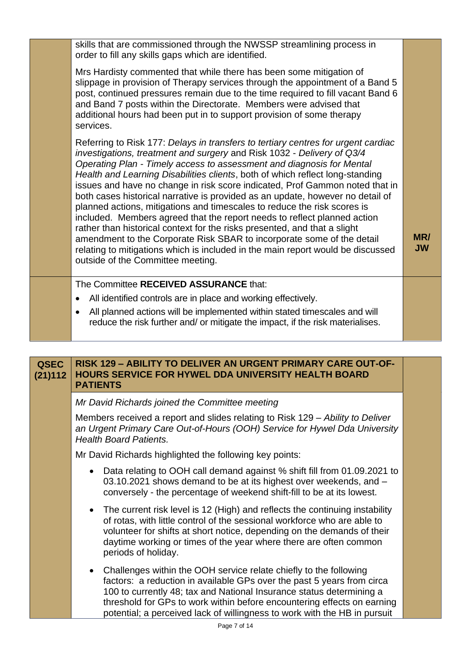|  | skills that are commissioned through the NWSSP streamlining process in<br>order to fill any skills gaps which are identified.                                                                                                                                                                                                                                                                                                                                                                                                                                                                                                                                                                                                                                                                                                                                                                                                  |                  |
|--|--------------------------------------------------------------------------------------------------------------------------------------------------------------------------------------------------------------------------------------------------------------------------------------------------------------------------------------------------------------------------------------------------------------------------------------------------------------------------------------------------------------------------------------------------------------------------------------------------------------------------------------------------------------------------------------------------------------------------------------------------------------------------------------------------------------------------------------------------------------------------------------------------------------------------------|------------------|
|  | Mrs Hardisty commented that while there has been some mitigation of<br>slippage in provision of Therapy services through the appointment of a Band 5<br>post, continued pressures remain due to the time required to fill vacant Band 6<br>and Band 7 posts within the Directorate. Members were advised that<br>additional hours had been put in to support provision of some therapy<br>services.                                                                                                                                                                                                                                                                                                                                                                                                                                                                                                                            |                  |
|  | Referring to Risk 177: Delays in transfers to tertiary centres for urgent cardiac<br>investigations, treatment and surgery and Risk 1032 - Delivery of Q3/4<br>Operating Plan - Timely access to assessment and diagnosis for Mental<br>Health and Learning Disabilities clients, both of which reflect long-standing<br>issues and have no change in risk score indicated, Prof Gammon noted that in<br>both cases historical narrative is provided as an update, however no detail of<br>planned actions, mitigations and timescales to reduce the risk scores is<br>included. Members agreed that the report needs to reflect planned action<br>rather than historical context for the risks presented, and that a slight<br>amendment to the Corporate Risk SBAR to incorporate some of the detail<br>relating to mitigations which is included in the main report would be discussed<br>outside of the Committee meeting. | MR/<br><b>JW</b> |
|  | The Committee RECEIVED ASSURANCE that:                                                                                                                                                                                                                                                                                                                                                                                                                                                                                                                                                                                                                                                                                                                                                                                                                                                                                         |                  |
|  | All identified controls are in place and working effectively.<br>$\bullet$                                                                                                                                                                                                                                                                                                                                                                                                                                                                                                                                                                                                                                                                                                                                                                                                                                                     |                  |
|  | All planned actions will be implemented within stated timescales and will<br>reduce the risk further and/ or mitigate the impact, if the risk materialises.                                                                                                                                                                                                                                                                                                                                                                                                                                                                                                                                                                                                                                                                                                                                                                    |                  |
|  |                                                                                                                                                                                                                                                                                                                                                                                                                                                                                                                                                                                                                                                                                                                                                                                                                                                                                                                                |                  |

| <b>QSEC</b><br>(21)112 | <b>RISK 129 - ABILITY TO DELIVER AN URGENT PRIMARY CARE OUT-OF-</b><br><b>HOURS SERVICE FOR HYWEL DDA UNIVERSITY HEALTH BOARD</b><br><b>PATIENTS</b>                                                                                                                                                                                                                        |
|------------------------|-----------------------------------------------------------------------------------------------------------------------------------------------------------------------------------------------------------------------------------------------------------------------------------------------------------------------------------------------------------------------------|
|                        | Mr David Richards joined the Committee meeting                                                                                                                                                                                                                                                                                                                              |
|                        | Members received a report and slides relating to Risk 129 – Ability to Deliver<br>an Urgent Primary Care Out-of-Hours (OOH) Service for Hywel Dda University<br><b>Health Board Patients.</b>                                                                                                                                                                               |
|                        | Mr David Richards highlighted the following key points:                                                                                                                                                                                                                                                                                                                     |
|                        | Data relating to OOH call demand against % shift fill from 01.09.2021 to<br>03.10.2021 shows demand to be at its highest over weekends, and -<br>conversely - the percentage of weekend shift-fill to be at its lowest.                                                                                                                                                     |
|                        | The current risk level is 12 (High) and reflects the continuing instability<br>$\bullet$<br>of rotas, with little control of the sessional workforce who are able to<br>volunteer for shifts at short notice, depending on the demands of their<br>daytime working or times of the year where there are often common<br>periods of holiday.                                 |
|                        | Challenges within the OOH service relate chiefly to the following<br>factors: a reduction in available GPs over the past 5 years from circa<br>100 to currently 48; tax and National Insurance status determining a<br>threshold for GPs to work within before encountering effects on earning<br>potential; a perceived lack of willingness to work with the HB in pursuit |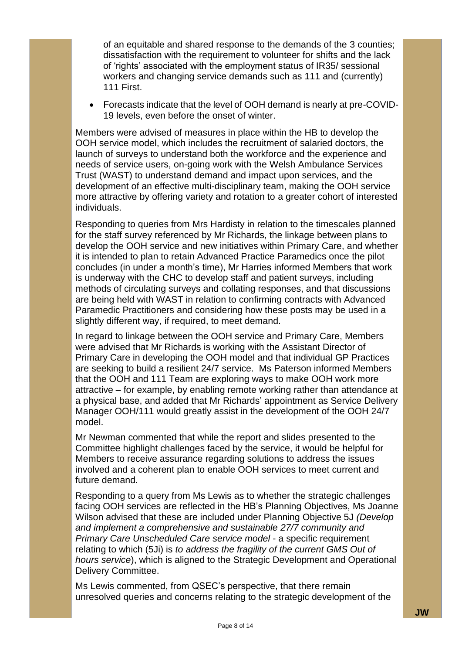of an equitable and shared response to the demands of the 3 counties; dissatisfaction with the requirement to volunteer for shifts and the lack of 'rights' associated with the employment status of IR35/ sessional workers and changing service demands such as 111 and (currently) 111 First.

• Forecasts indicate that the level of OOH demand is nearly at pre-COVID-19 levels, even before the onset of winter.

Members were advised of measures in place within the HB to develop the OOH service model, which includes the recruitment of salaried doctors, the launch of surveys to understand both the workforce and the experience and needs of service users, on-going work with the Welsh Ambulance Services Trust (WAST) to understand demand and impact upon services, and the development of an effective multi-disciplinary team, making the OOH service more attractive by offering variety and rotation to a greater cohort of interested individuals.

Responding to queries from Mrs Hardisty in relation to the timescales planned for the staff survey referenced by Mr Richards, the linkage between plans to develop the OOH service and new initiatives within Primary Care, and whether it is intended to plan to retain Advanced Practice Paramedics once the pilot concludes (in under a month's time), Mr Harries informed Members that work is underway with the CHC to develop staff and patient surveys, including methods of circulating surveys and collating responses, and that discussions are being held with WAST in relation to confirming contracts with Advanced Paramedic Practitioners and considering how these posts may be used in a slightly different way, if required, to meet demand.

In regard to linkage between the OOH service and Primary Care, Members were advised that Mr Richards is working with the Assistant Director of Primary Care in developing the OOH model and that individual GP Practices are seeking to build a resilient 24/7 service. Ms Paterson informed Members that the OOH and 111 Team are exploring ways to make OOH work more attractive – for example, by enabling remote working rather than attendance at a physical base, and added that Mr Richards' appointment as Service Delivery Manager OOH/111 would greatly assist in the development of the OOH 24/7 model.

Mr Newman commented that while the report and slides presented to the Committee highlight challenges faced by the service, it would be helpful for Members to receive assurance regarding solutions to address the issues involved and a coherent plan to enable OOH services to meet current and future demand.

Responding to a query from Ms Lewis as to whether the strategic challenges facing OOH services are reflected in the HB's Planning Objectives, Ms Joanne Wilson advised that these are included under Planning Objective 5J *(Develop and implement a comprehensive and sustainable 27/7 community and Primary Care Unscheduled Care service model* - a specific requirement relating to which (5Ji) is *to address the fragility of the current GMS Out of hours service*), which is aligned to the Strategic Development and Operational Delivery Committee.

Ms Lewis commented, from QSEC's perspective, that there remain unresolved queries and concerns relating to the strategic development of the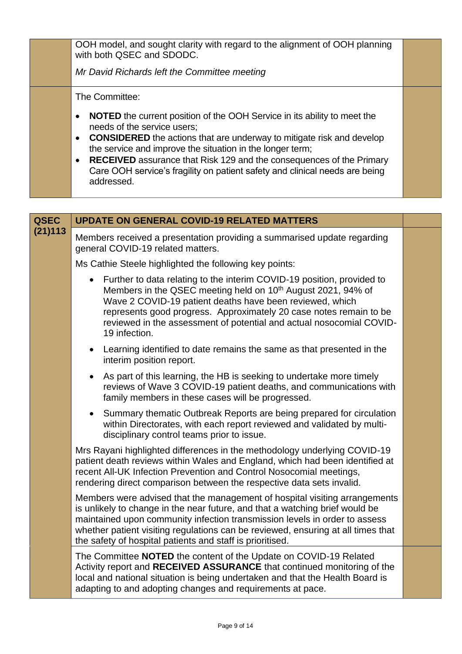| OOH model, and sought clarity with regard to the alignment of OOH planning<br>with both QSEC and SDODC.<br>Mr David Richards left the Committee meeting                                                                                                                                                                                                                                                                                                                             |  |
|-------------------------------------------------------------------------------------------------------------------------------------------------------------------------------------------------------------------------------------------------------------------------------------------------------------------------------------------------------------------------------------------------------------------------------------------------------------------------------------|--|
| The Committee:<br><b>NOTED</b> the current position of the OOH Service in its ability to meet the<br>needs of the service users;<br><b>CONSIDERED</b> the actions that are underway to mitigate risk and develop<br>$\bullet$<br>the service and improve the situation in the longer term;<br><b>RECEIVED</b> assurance that Risk 129 and the consequences of the Primary<br>$\bullet$<br>Care OOH service's fragility on patient safety and clinical needs are being<br>addressed. |  |

| <b>QSEC</b> | <b>UPDATE ON GENERAL COVID-19 RELATED MATTERS</b>                                                                                                                                                                                                                                                                                                                                          |  |
|-------------|--------------------------------------------------------------------------------------------------------------------------------------------------------------------------------------------------------------------------------------------------------------------------------------------------------------------------------------------------------------------------------------------|--|
| (21)113     | Members received a presentation providing a summarised update regarding<br>general COVID-19 related matters.                                                                                                                                                                                                                                                                               |  |
|             | Ms Cathie Steele highlighted the following key points:                                                                                                                                                                                                                                                                                                                                     |  |
|             | Further to data relating to the interim COVID-19 position, provided to<br>$\bullet$<br>Members in the QSEC meeting held on 10 <sup>th</sup> August 2021, 94% of<br>Wave 2 COVID-19 patient deaths have been reviewed, which<br>represents good progress. Approximately 20 case notes remain to be<br>reviewed in the assessment of potential and actual nosocomial COVID-<br>19 infection. |  |
|             | Learning identified to date remains the same as that presented in the<br>$\bullet$<br>interim position report.                                                                                                                                                                                                                                                                             |  |
|             | As part of this learning, the HB is seeking to undertake more timely<br>reviews of Wave 3 COVID-19 patient deaths, and communications with<br>family members in these cases will be progressed.                                                                                                                                                                                            |  |
|             | Summary thematic Outbreak Reports are being prepared for circulation<br>$\bullet$<br>within Directorates, with each report reviewed and validated by multi-<br>disciplinary control teams prior to issue.                                                                                                                                                                                  |  |
|             | Mrs Rayani highlighted differences in the methodology underlying COVID-19<br>patient death reviews within Wales and England, which had been identified at<br>recent All-UK Infection Prevention and Control Nosocomial meetings,<br>rendering direct comparison between the respective data sets invalid.                                                                                  |  |
|             | Members were advised that the management of hospital visiting arrangements<br>is unlikely to change in the near future, and that a watching brief would be<br>maintained upon community infection transmission levels in order to assess<br>whether patient visiting regulations can be reviewed, ensuring at all times that<br>the safety of hospital patients and staff is prioritised.  |  |
|             | The Committee NOTED the content of the Update on COVID-19 Related<br>Activity report and RECEIVED ASSURANCE that continued monitoring of the<br>local and national situation is being undertaken and that the Health Board is<br>adapting to and adopting changes and requirements at pace.                                                                                                |  |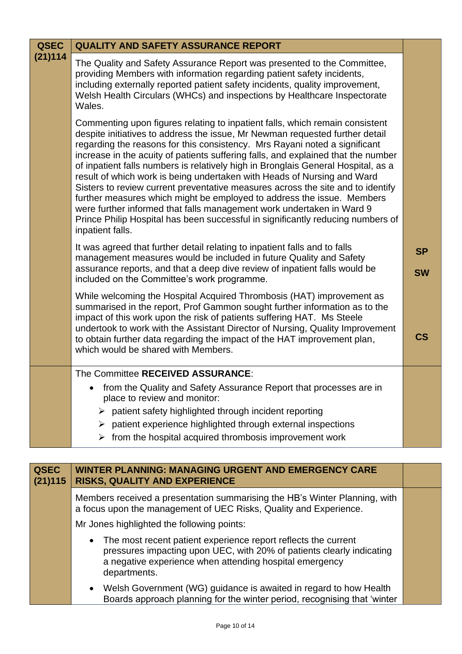| <b>QSEC</b> | <b>QUALITY AND SAFETY ASSURANCE REPORT</b>                                                                                                                                                                                                                                                                                                                                                                                                                                                                                                                                                                                                                                                                                                                                                                                                   |                        |
|-------------|----------------------------------------------------------------------------------------------------------------------------------------------------------------------------------------------------------------------------------------------------------------------------------------------------------------------------------------------------------------------------------------------------------------------------------------------------------------------------------------------------------------------------------------------------------------------------------------------------------------------------------------------------------------------------------------------------------------------------------------------------------------------------------------------------------------------------------------------|------------------------|
| (21)114     | The Quality and Safety Assurance Report was presented to the Committee,<br>providing Members with information regarding patient safety incidents,<br>including externally reported patient safety incidents, quality improvement,<br>Welsh Health Circulars (WHCs) and inspections by Healthcare Inspectorate<br>Wales.                                                                                                                                                                                                                                                                                                                                                                                                                                                                                                                      |                        |
|             | Commenting upon figures relating to inpatient falls, which remain consistent<br>despite initiatives to address the issue, Mr Newman requested further detail<br>regarding the reasons for this consistency. Mrs Rayani noted a significant<br>increase in the acuity of patients suffering falls, and explained that the number<br>of inpatient falls numbers is relatively high in Bronglais General Hospital, as a<br>result of which work is being undertaken with Heads of Nursing and Ward<br>Sisters to review current preventative measures across the site and to identify<br>further measures which might be employed to address the issue. Members<br>were further informed that falls management work undertaken in Ward 9<br>Prince Philip Hospital has been successful in significantly reducing numbers of<br>inpatient falls. |                        |
|             | It was agreed that further detail relating to inpatient falls and to falls<br>management measures would be included in future Quality and Safety<br>assurance reports, and that a deep dive review of inpatient falls would be<br>included on the Committee's work programme.                                                                                                                                                                                                                                                                                                                                                                                                                                                                                                                                                                | <b>SP</b><br><b>SW</b> |
|             | While welcoming the Hospital Acquired Thrombosis (HAT) improvement as<br>summarised in the report, Prof Gammon sought further information as to the<br>impact of this work upon the risk of patients suffering HAT. Ms Steele<br>undertook to work with the Assistant Director of Nursing, Quality Improvement<br>to obtain further data regarding the impact of the HAT improvement plan,<br>which would be shared with Members.                                                                                                                                                                                                                                                                                                                                                                                                            | $\mathsf{CS}$          |
|             | The Committee RECEIVED ASSURANCE:                                                                                                                                                                                                                                                                                                                                                                                                                                                                                                                                                                                                                                                                                                                                                                                                            |                        |
|             | from the Quality and Safety Assurance Report that processes are in<br>place to review and monitor:                                                                                                                                                                                                                                                                                                                                                                                                                                                                                                                                                                                                                                                                                                                                           |                        |
|             | $\triangleright$ patient safety highlighted through incident reporting                                                                                                                                                                                                                                                                                                                                                                                                                                                                                                                                                                                                                                                                                                                                                                       |                        |
|             | patient experience highlighted through external inspections<br>➤                                                                                                                                                                                                                                                                                                                                                                                                                                                                                                                                                                                                                                                                                                                                                                             |                        |
|             | from the hospital acquired thrombosis improvement work<br>➤                                                                                                                                                                                                                                                                                                                                                                                                                                                                                                                                                                                                                                                                                                                                                                                  |                        |

| <b>QSEC</b><br>(21)115 | WINTER PLANNING: MANAGING URGENT AND EMERGENCY CARE<br><b>RISKS, QUALITY AND EXPERIENCE</b>                                                                                                                                     |  |
|------------------------|---------------------------------------------------------------------------------------------------------------------------------------------------------------------------------------------------------------------------------|--|
|                        | Members received a presentation summarising the HB's Winter Planning, with<br>a focus upon the management of UEC Risks, Quality and Experience.                                                                                 |  |
|                        | Mr Jones highlighted the following points:                                                                                                                                                                                      |  |
|                        | The most recent patient experience report reflects the current<br>$\bullet$<br>pressures impacting upon UEC, with 20% of patients clearly indicating<br>a negative experience when attending hospital emergency<br>departments. |  |
|                        | Welsh Government (WG) guidance is awaited in regard to how Health<br>Boards approach planning for the winter period, recognising that 'winter                                                                                   |  |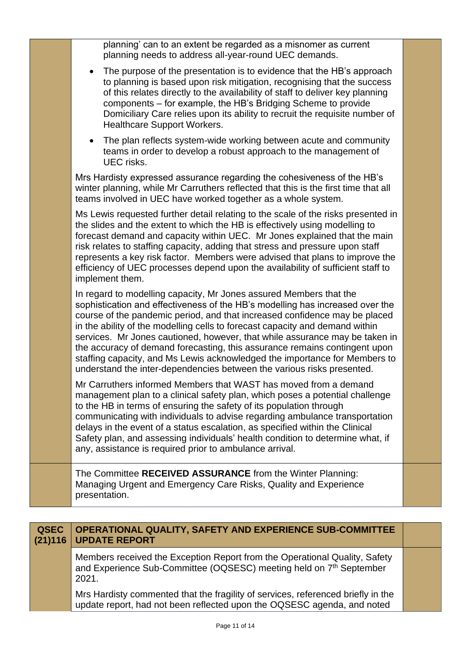|             | planning' can to an extent be regarded as a misnomer as current<br>planning needs to address all-year-round UEC demands.                                                                                                                                                                                                                                                                                                                                                                                                                                                                                                               |  |
|-------------|----------------------------------------------------------------------------------------------------------------------------------------------------------------------------------------------------------------------------------------------------------------------------------------------------------------------------------------------------------------------------------------------------------------------------------------------------------------------------------------------------------------------------------------------------------------------------------------------------------------------------------------|--|
|             | The purpose of the presentation is to evidence that the HB's approach<br>to planning is based upon risk mitigation, recognising that the success<br>of this relates directly to the availability of staff to deliver key planning<br>components - for example, the HB's Bridging Scheme to provide<br>Domiciliary Care relies upon its ability to recruit the requisite number of<br><b>Healthcare Support Workers.</b>                                                                                                                                                                                                                |  |
|             | The plan reflects system-wide working between acute and community<br>teams in order to develop a robust approach to the management of<br>UEC risks.                                                                                                                                                                                                                                                                                                                                                                                                                                                                                    |  |
|             | Mrs Hardisty expressed assurance regarding the cohesiveness of the HB's<br>winter planning, while Mr Carruthers reflected that this is the first time that all<br>teams involved in UEC have worked together as a whole system.                                                                                                                                                                                                                                                                                                                                                                                                        |  |
|             | Ms Lewis requested further detail relating to the scale of the risks presented in<br>the slides and the extent to which the HB is effectively using modelling to<br>forecast demand and capacity within UEC. Mr Jones explained that the main<br>risk relates to staffing capacity, adding that stress and pressure upon staff<br>represents a key risk factor. Members were advised that plans to improve the<br>efficiency of UEC processes depend upon the availability of sufficient staff to<br>implement them.                                                                                                                   |  |
|             | In regard to modelling capacity, Mr Jones assured Members that the<br>sophistication and effectiveness of the HB's modelling has increased over the<br>course of the pandemic period, and that increased confidence may be placed<br>in the ability of the modelling cells to forecast capacity and demand within<br>services. Mr Jones cautioned, however, that while assurance may be taken in<br>the accuracy of demand forecasting, this assurance remains contingent upon<br>staffing capacity, and Ms Lewis acknowledged the importance for Members to<br>understand the inter-dependencies between the various risks presented. |  |
|             | Mr Carruthers informed Members that WAST has moved from a demand<br>management plan to a clinical safety plan, which poses a potential challenge<br>to the HB in terms of ensuring the safety of its population through<br>communicating with individuals to advise regarding ambulance transportation<br>delays in the event of a status escalation, as specified within the Clinical<br>Safety plan, and assessing individuals' health condition to determine what, if<br>any, assistance is required prior to ambulance arrival.                                                                                                    |  |
|             | The Committee RECEIVED ASSURANCE from the Winter Planning:<br>Managing Urgent and Emergency Care Risks, Quality and Experience<br>presentation.                                                                                                                                                                                                                                                                                                                                                                                                                                                                                        |  |
|             |                                                                                                                                                                                                                                                                                                                                                                                                                                                                                                                                                                                                                                        |  |
| <b>QSEC</b> | OPERATIONAL QUALITY, SAFETY AND EXPERIENCE SUB-COMMITTEE                                                                                                                                                                                                                                                                                                                                                                                                                                                                                                                                                                               |  |

Members received the Exception Report from the Operational Quality, Safety and Experience Sub-Committee (OQSESC) meeting held on 7<sup>th</sup> September 2021.

**(21)116**

**UPDATE REPORT**

Mrs Hardisty commented that the fragility of services, referenced briefly in the update report, had not been reflected upon the OQSESC agenda, and noted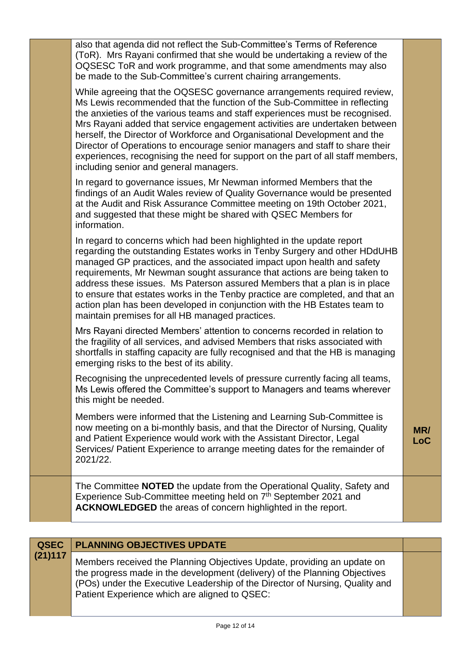|                        | also that agenda did not reflect the Sub-Committee's Terms of Reference<br>(ToR). Mrs Rayani confirmed that she would be undertaking a review of the<br>OQSESC ToR and work programme, and that some amendments may also<br>be made to the Sub-Committee's current chairing arrangements.                                                                                                                                                                                                                                                                                                                    |                   |
|------------------------|--------------------------------------------------------------------------------------------------------------------------------------------------------------------------------------------------------------------------------------------------------------------------------------------------------------------------------------------------------------------------------------------------------------------------------------------------------------------------------------------------------------------------------------------------------------------------------------------------------------|-------------------|
|                        | While agreeing that the OQSESC governance arrangements required review,<br>Ms Lewis recommended that the function of the Sub-Committee in reflecting<br>the anxieties of the various teams and staff experiences must be recognised.<br>Mrs Rayani added that service engagement activities are undertaken between<br>herself, the Director of Workforce and Organisational Development and the<br>Director of Operations to encourage senior managers and staff to share their<br>experiences, recognising the need for support on the part of all staff members,<br>including senior and general managers. |                   |
|                        | In regard to governance issues, Mr Newman informed Members that the<br>findings of an Audit Wales review of Quality Governance would be presented<br>at the Audit and Risk Assurance Committee meeting on 19th October 2021,<br>and suggested that these might be shared with QSEC Members for<br>information.                                                                                                                                                                                                                                                                                               |                   |
|                        | In regard to concerns which had been highlighted in the update report<br>regarding the outstanding Estates works in Tenby Surgery and other HDdUHB<br>managed GP practices, and the associated impact upon health and safety<br>requirements, Mr Newman sought assurance that actions are being taken to<br>address these issues. Ms Paterson assured Members that a plan is in place<br>to ensure that estates works in the Tenby practice are completed, and that an<br>action plan has been developed in conjunction with the HB Estates team to<br>maintain premises for all HB managed practices.       |                   |
|                        | Mrs Rayani directed Members' attention to concerns recorded in relation to<br>the fragility of all services, and advised Members that risks associated with<br>shortfalls in staffing capacity are fully recognised and that the HB is managing<br>emerging risks to the best of its ability.                                                                                                                                                                                                                                                                                                                |                   |
|                        | Recognising the unprecedented levels of pressure currently facing all teams,<br>Ms Lewis offered the Committee's support to Managers and teams wherever<br>this might be needed.                                                                                                                                                                                                                                                                                                                                                                                                                             |                   |
|                        | Members were informed that the Listening and Learning Sub-Committee is<br>now meeting on a bi-monthly basis, and that the Director of Nursing, Quality<br>and Patient Experience would work with the Assistant Director, Legal<br>Services/ Patient Experience to arrange meeting dates for the remainder of<br>2021/22.                                                                                                                                                                                                                                                                                     | MR/<br><b>LoC</b> |
|                        | The Committee NOTED the update from the Operational Quality, Safety and<br>Experience Sub-Committee meeting held on 7 <sup>th</sup> September 2021 and<br><b>ACKNOWLEDGED</b> the areas of concern highlighted in the report.                                                                                                                                                                                                                                                                                                                                                                                |                   |
|                        |                                                                                                                                                                                                                                                                                                                                                                                                                                                                                                                                                                                                              |                   |
| <b>QSEC</b><br>(21)117 | <b>PLANNING OBJECTIVES UPDATE</b>                                                                                                                                                                                                                                                                                                                                                                                                                                                                                                                                                                            |                   |
|                        |                                                                                                                                                                                                                                                                                                                                                                                                                                                                                                                                                                                                              |                   |

Members received the Planning Objectives Update, providing an update on the progress made in the development (delivery) of the Planning Objectives (POs) under the Executive Leadership of the Director of Nursing, Quality and Patient Experience which are aligned to QSEC: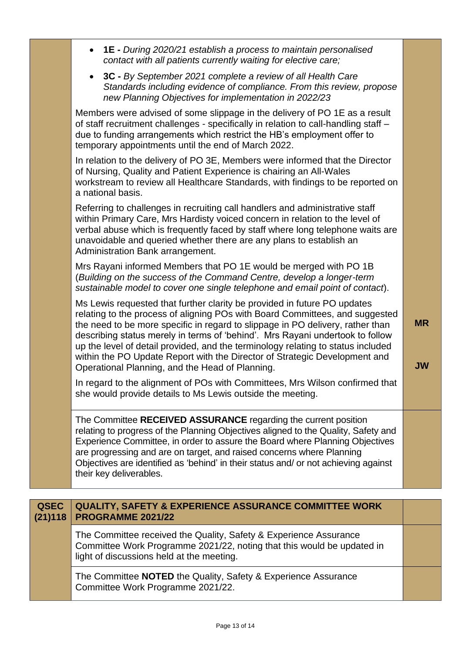|                        | <b>1E</b> - During 2020/21 establish a process to maintain personalised<br>contact with all patients currently waiting for elective care;                                                                                                                                                                                                                                                                                                                                                                                                        |                        |
|------------------------|--------------------------------------------------------------------------------------------------------------------------------------------------------------------------------------------------------------------------------------------------------------------------------------------------------------------------------------------------------------------------------------------------------------------------------------------------------------------------------------------------------------------------------------------------|------------------------|
|                        | 3C - By September 2021 complete a review of all Health Care<br>$\bullet$<br>Standards including evidence of compliance. From this review, propose<br>new Planning Objectives for implementation in 2022/23                                                                                                                                                                                                                                                                                                                                       |                        |
|                        | Members were advised of some slippage in the delivery of PO 1E as a result<br>of staff recruitment challenges - specifically in relation to call-handling staff -<br>due to funding arrangements which restrict the HB's employment offer to<br>temporary appointments until the end of March 2022.                                                                                                                                                                                                                                              |                        |
|                        | In relation to the delivery of PO 3E, Members were informed that the Director<br>of Nursing, Quality and Patient Experience is chairing an All-Wales<br>workstream to review all Healthcare Standards, with findings to be reported on<br>a national basis.                                                                                                                                                                                                                                                                                      |                        |
|                        | Referring to challenges in recruiting call handlers and administrative staff<br>within Primary Care, Mrs Hardisty voiced concern in relation to the level of<br>verbal abuse which is frequently faced by staff where long telephone waits are<br>unavoidable and queried whether there are any plans to establish an<br>Administration Bank arrangement.                                                                                                                                                                                        |                        |
|                        | Mrs Rayani informed Members that PO 1E would be merged with PO 1B<br>(Building on the success of the Command Centre, develop a longer-term<br>sustainable model to cover one single telephone and email point of contact).                                                                                                                                                                                                                                                                                                                       |                        |
|                        | Ms Lewis requested that further clarity be provided in future PO updates<br>relating to the process of aligning POs with Board Committees, and suggested<br>the need to be more specific in regard to slippage in PO delivery, rather than<br>describing status merely in terms of 'behind'. Mrs Rayani undertook to follow<br>up the level of detail provided, and the terminology relating to status included<br>within the PO Update Report with the Director of Strategic Development and<br>Operational Planning, and the Head of Planning. | <b>MR</b><br><b>JW</b> |
|                        | In regard to the alignment of POs with Committees, Mrs Wilson confirmed that<br>she would provide details to Ms Lewis outside the meeting.                                                                                                                                                                                                                                                                                                                                                                                                       |                        |
|                        | The Committee RECEIVED ASSURANCE regarding the current position<br>relating to progress of the Planning Objectives aligned to the Quality, Safety and<br>Experience Committee, in order to assure the Board where Planning Objectives<br>are progressing and are on target, and raised concerns where Planning<br>Objectives are identified as 'behind' in their status and/ or not achieving against<br>their key deliverables.                                                                                                                 |                        |
|                        |                                                                                                                                                                                                                                                                                                                                                                                                                                                                                                                                                  |                        |
| <b>QSEC</b><br>(21)118 | <b>QUALITY, SAFETY &amp; EXPERIENCE ASSURANCE COMMITTEE WORK</b><br><b>PROGRAMME 2021/22</b>                                                                                                                                                                                                                                                                                                                                                                                                                                                     |                        |

The Committee received the Quality, Safety & Experience Assurance Committee Work Programme 2021/22, noting that this would be updated in light of discussions held at the meeting.

The Committee **NOTED** the Quality, Safety & Experience Assurance Committee Work Programme 2021/22.